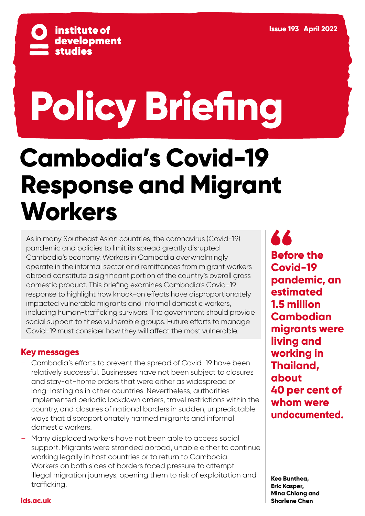

# **Policy Briefing**

# **Cambodia's Covid-19 Response and Migrant Workers**

As in many Southeast Asian countries, the coronavirus (Covid-19) pandemic and policies to limit its spread greatly disrupted Cambodia's economy. Workers in Cambodia overwhelmingly operate in the informal sector and remittances from migrant workers abroad constitute a significant portion of the country's overall gross domestic product. This briefing examines Cambodia's Covid-19 response to highlight how knock-on effects have disproportionately impacted vulnerable migrants and informal domestic workers, including human-trafficking survivors. The government should provide social support to these vulnerable groups. Future efforts to manage Covid-19 must consider how they will affect the most vulnerable.

# **Key messages**

- Cambodia's efforts to prevent the spread of Covid-19 have been relatively successful. Businesses have not been subject to closures and stay-at-home orders that were either as widespread or long-lasting as in other countries. Nevertheless, authorities implemented periodic lockdown orders, travel restrictions within the country, and closures of national borders in sudden, unpredictable ways that disproportionately harmed migrants and informal domestic workers.
- Many displaced workers have not been able to access social support. Migrants were stranded abroad, unable either to continue working legally in host countries or to return to Cambodia. Workers on both sides of borders faced pressure to attempt illegal migration journeys, opening them to risk of exploitation and trafficking.

**44 Before the Covid-19 pandemic, an estimated 1.5 million Cambodian migrants were living and working in Thailand, about 40 per cent of whom were undocumented.**

**Keo Bunthea, Eric Kasper, Mina Chiang and Sharlene Chen**

# **[ids.ac.uk](https://www.ids.ac.uk/)**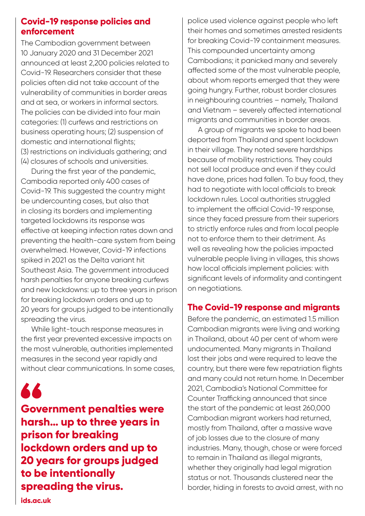# **Covid-19 response policies and enforcement**

The Cambodian government between 10 January 2020 and 31 December 2021 announced at least 2,200 policies related to Covid-19. Researchers consider that these policies often did not take account of the vulnerability of communities in border areas and at sea, or workers in informal sectors. The policies can be divided into four main categories: (1) curfews and restrictions on business operating hours; (2) suspension of domestic and international flights; (3) restrictions on individuals gathering; and (4) closures of schools and universities.

During the first year of the pandemic, Cambodia reported only 400 cases of Covid-19. This suggested the country might be undercounting cases, but also that in closing its borders and implementing targeted lockdowns its response was effective at keeping infection rates down and preventing the health-care system from being overwhelmed. However, Covid-19 infections spiked in 2021 as the Delta variant hit Southeast Asia. The government introduced harsh penalties for anyone breaking curfews and new lockdowns: up to three years in prison for breaking lockdown orders and up to 20 years for groups judged to be intentionally spreading the virus.

While light-touch response measures in the first year prevented excessive impacts on the most vulnerable, authorities implemented measures in the second year rapidly and without clear communications. In some cases,

66

**Government penalties were harsh… up to three years in prison for breaking lockdown orders and up to 20 years for groups judged to be intentionally spreading the virus.**

police used violence against people who left their homes and sometimes arrested residents for breaking Covid-19 containment measures. This compounded uncertainty among Cambodians; it panicked many and severely affected some of the most vulnerable people, about whom reports emerged that they were going hungry. Further, robust border closures in neighbouring countries – namely, Thailand and Vietnam – severely affected international migrants and communities in border areas.

A group of migrants we spoke to had been deported from Thailand and spent lockdown in their village. They noted severe hardships because of mobility restrictions. They could not sell local produce and even if they could have done, prices had fallen. To buy food, they had to negotiate with local officials to break lockdown rules. Local authorities struggled to implement the official Covid-19 response, since they faced pressure from their superiors to strictly enforce rules and from local people not to enforce them to their detriment. As well as revealing how the policies impacted vulnerable people living in villages, this shows how local officials implement policies: with significant levels of informality and contingent on negotiations.

# **The Covid-19 response and migrants**

Before the pandemic, an estimated 1.5 million Cambodian migrants were living and working in Thailand, about 40 per cent of whom were undocumented. Many migrants in Thailand lost their jobs and were required to leave the country, but there were few repatriation flights and many could not return home. In December 2021, Cambodia's National Committee for Counter Trafficking announced that since the start of the pandemic at least 260,000 Cambodian migrant workers had returned, mostly from Thailand, after a massive wave of job losses due to the closure of many industries. Many, though, chose or were forced to remain in Thailand as illegal migrants, whether they originally had legal migration status or not. Thousands clustered near the border, hiding in forests to avoid arrest, with no

**[ids.ac.uk](https://www.ids.ac.uk/)**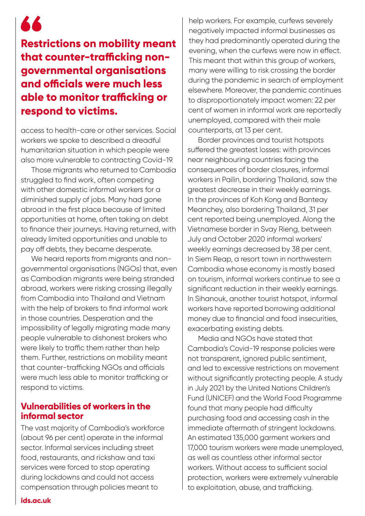# **Restrictions on mobility meant that counter-trafficking nongovernmental organisations and officials were much less able to monitor trafficking or respond to victims.**

66

access to health-care or other services. Social workers we spoke to described a dreadful humanitarian situation in which people were also more vulnerable to contracting Covid-19.

Those migrants who returned to Cambodia struggled to find work, often competing with other domestic informal workers for a diminished supply of jobs. Many had gone abroad in the first place because of limited opportunities at home, often taking on debt to finance their journeys. Having returned, with already limited opportunities and unable to pay off debts, they became desperate.

We heard reports from migrants and nongovernmental organisations (NGOs) that, even as Cambodian migrants were being stranded abroad, workers were risking crossing illegally from Cambodia into Thailand and Vietnam with the help of brokers to find informal work in those countries. Desperation and the impossibility of legally migrating made many people vulnerable to dishonest brokers who were likely to traffic them rather than help them. Further, restrictions on mobility meant that counter-trafficking NGOs and officials were much less able to monitor trafficking or respond to victims.

# **Vulnerabilities of workers in the informal sector**

The vast majority of Cambodia's workforce (about 96 per cent) operate in the informal sector. Informal services including street food, restaurants, and rickshaw and taxi services were forced to stop operating during lockdowns and could not access compensation through policies meant to

help workers. For example, curfews severely negatively impacted informal businesses as they had predominantly operated during the evening, when the curfews were now in effect. This meant that within this group of workers, many were willing to risk crossing the border during the pandemic in search of employment elsewhere. Moreover, the pandemic continues to disproportionately impact women: 22 per cent of women in informal work are reportedly unemployed, compared with their male counterparts, at 13 per cent.

Border provinces and tourist hotspots suffered the greatest losses: with provinces near neighbouring countries facing the consequences of border closures, informal workers in Pailin, bordering Thailand, saw the greatest decrease in their weekly earnings. In the provinces of Koh Kong and Banteay Meanchey, also bordering Thailand, 31 per cent reported being unemployed. Along the Vietnamese border in Svay Rieng, between July and October 2020 informal workers' weekly earnings decreased by 38 per cent. In Siem Reap, a resort town in northwestern Cambodia whose economy is mostly based on tourism, informal workers continue to see a significant reduction in their weekly earnings. In Sihanouk, another tourist hotspot, informal workers have reported borrowing additional money due to financial and food insecurities, exacerbating existing debts.

Media and NGOs have stated that Cambodia's Covid-19 response policies were not transparent, ignored public sentiment, and led to excessive restrictions on movement without significantly protecting people. A study in July 2021 by the United Nations Children's Fund (UNICEF) and the World Food Programme found that many people had difficulty purchasing food and accessing cash in the immediate aftermath of stringent lockdowns. An estimated 135,000 garment workers and 17,000 tourism workers were made unemployed, as well as countless other informal sector workers. Without access to sufficient social protection, workers were extremely vulnerable to exploitation, abuse, and trafficking.

**[ids.ac.uk](https://www.ids.ac.uk/)**